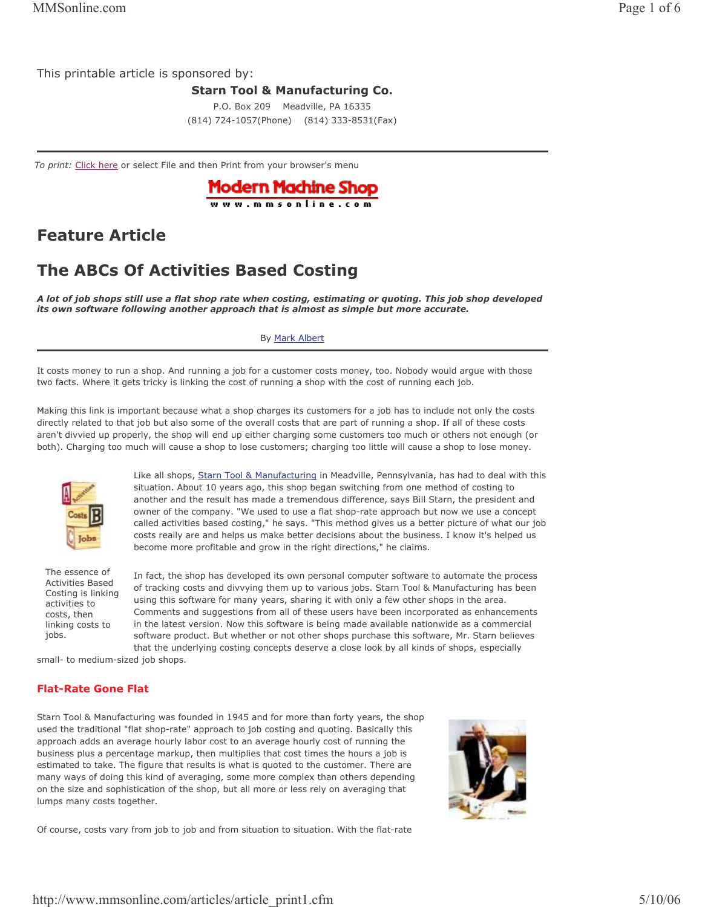This printable article is sponsored by:

**Starn Tool & Manufacturing Co.** 

P.O. Box 209 Meadville, PA 16335 (814) 724-1057(Phone) (814) 333-8531(Fax)

To print: Click here or select File and then Print from your browser's menu



# **Feature Article**

# **The ABCs Of Activities Based Costing**

A lot of job shops still use a flat shop rate when costing, estimating or quoting. This job shop developed its own software following another approach that is almost as simple but more accurate.

## By Mark Albert

It costs money to run a shop. And running a job for a customer costs money, too. Nobody would argue with those two facts. Where it gets tricky is linking the cost of running a shop with the cost of running each job.

Making this link is important because what a shop charges its customers for a job has to include not only the costs directly related to that job but also some of the overall costs that are part of running a shop. If all of these costs aren't divvied up properly, the shop will end up either charging some customers too much or others not enough (or both). Charging too much will cause a shop to lose customers; charging too little will cause a shop to lose money.



Like all shops, Starn Tool & Manufacturing in Meadville, Pennsylvania, has had to deal with this situation. About 10 years ago, this shop began switching from one method of costing to another and the result has made a tremendous difference, says Bill Starn, the president and owner of the company. "We used to use a flat shop-rate approach but now we use a concept called activities based costing," he says. "This method gives us a better picture of what our job costs really are and helps us make better decisions about the business. I know it's helped us become more profitable and grow in the right directions," he claims.

The essence of **Activities Based** Costing is linking activities to costs, then linking costs to jobs.

In fact, the shop has developed its own personal computer software to automate the process of tracking costs and divvying them up to various jobs. Starn Tool & Manufacturing has been using this software for many years, sharing it with only a few other shops in the area. Comments and suggestions from all of these users have been incorporated as enhancements in the latest version. Now this software is being made available nationwide as a commercial software product. But whether or not other shops purchase this software, Mr. Starn believes that the underlying costing concepts deserve a close look by all kinds of shops, especially

small- to medium-sized job shops.

# **Flat-Rate Gone Flat**

Starn Tool & Manufacturing was founded in 1945 and for more than forty years, the shop used the traditional "flat shop-rate" approach to job costing and quoting. Basically this approach adds an average hourly labor cost to an average hourly cost of running the business plus a percentage markup, then multiplies that cost times the hours a job is estimated to take. The figure that results is what is quoted to the customer. There are many ways of doing this kind of averaging, some more complex than others depending on the size and sophistication of the shop, but all more or less rely on averaging that lumps many costs together.



Of course, costs vary from job to job and from situation to situation. With the flat-rate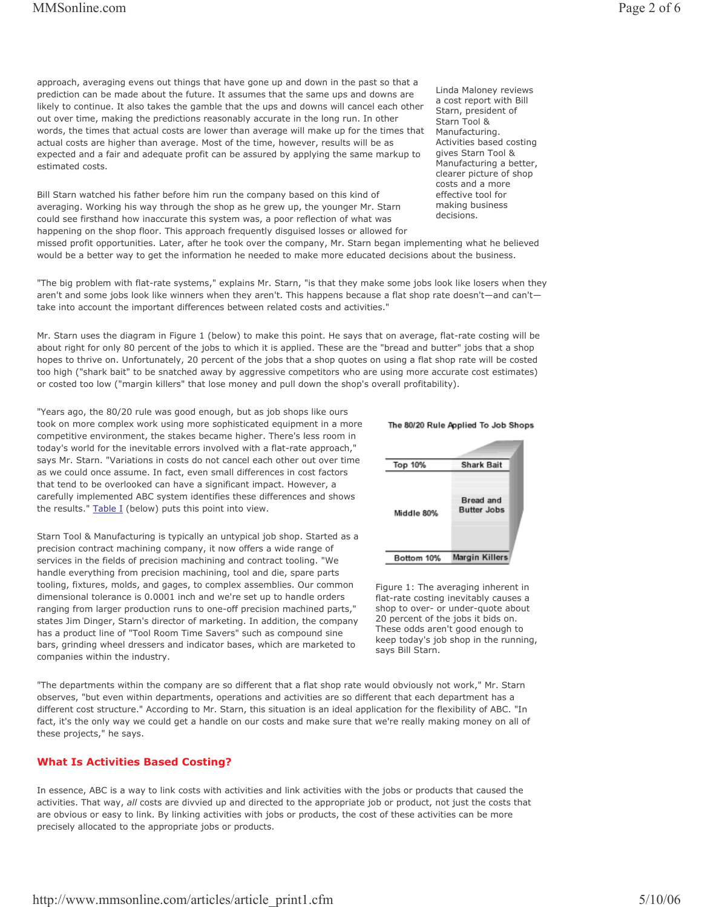approach, averaging evens out things that have gone up and down in the past so that a prediction can be made about the future. It assumes that the same ups and downs are likely to continue. It also takes the gamble that the ups and downs will cancel each other out over time, making the predictions reasonably accurate in the long run. In other words, the times that actual costs are lower than average will make up for the times that actual costs are higher than average. Most of the time, however, results will be as expected and a fair and adequate profit can be assured by applying the same markup to estimated costs.

Bill Starn watched his father before him run the company based on this kind of averaging. Working his way through the shop as he grew up, the younger Mr. Starn could see firsthand how inaccurate this system was, a poor reflection of what was happening on the shop floor. This approach frequently disguised losses or allowed for

Linda Maloney reviews a cost report with Bill Starn, president of Starn Tool & Manufacturing. Activities based costing gives Starn Tool & Manufacturing a better, clearer picture of shop costs and a more effective tool for making business decisions.

missed profit opportunities. Later, after he took over the company, Mr. Starn began implementing what he believed would be a better way to get the information he needed to make more educated decisions about the business.

"The big problem with flat-rate systems," explains Mr. Starn, "is that they make some jobs look like losers when they aren't and some jobs look like winners when they aren't. This happens because a flat shop rate doesn't-and can'ttake into account the important differences between related costs and activities."

Mr. Starn uses the diagram in Figure 1 (below) to make this point. He says that on average, flat-rate costing will be about right for only 80 percent of the jobs to which it is applied. These are the "bread and butter" jobs that a shop hopes to thrive on. Unfortunately, 20 percent of the jobs that a shop quotes on using a flat shop rate will be costed too high ("shark bait" to be snatched away by aggressive competitors who are using more accurate cost estimates) or costed too low ("margin killers" that lose money and pull down the shop's overall profitability).

"Years ago, the 80/20 rule was good enough, but as job shops like ours took on more complex work using more sophisticated equipment in a more competitive environment, the stakes became higher. There's less room in today's world for the inevitable errors involved with a flat-rate approach," says Mr. Starn. "Variations in costs do not cancel each other out over time as we could once assume. In fact, even small differences in cost factors that tend to be overlooked can have a significant impact. However, a carefully implemented ABC system identifies these differences and shows the results." Table I (below) puts this point into view.

Starn Tool & Manufacturing is typically an untypical job shop. Started as a precision contract machining company, it now offers a wide range of services in the fields of precision machining and contract tooling. "We handle everything from precision machining, tool and die, spare parts tooling, fixtures, molds, and gages, to complex assemblies. Our common dimensional tolerance is 0.0001 inch and we're set up to handle orders ranging from larger production runs to one-off precision machined parts," states Jim Dinger, Starn's director of marketing. In addition, the company has a product line of "Tool Room Time Savers" such as compound sine bars, grinding wheel dressers and indicator bases, which are marketed to companies within the industry.



The 80/20 Rule Applied To Job Shops

Figure 1: The averaging inherent in flat-rate costing inevitably causes a shop to over- or under-quote about 20 percent of the jobs it bids on. These odds aren't good enough to keep today's job shop in the running, says Bill Starn.

"The departments within the company are so different that a flat shop rate would obviously not work," Mr. Starn observes, "but even within departments, operations and activities are so different that each department has a different cost structure." According to Mr. Starn, this situation is an ideal application for the flexibility of ABC. "In fact, it's the only way we could get a handle on our costs and make sure that we're really making money on all of these projects," he says.

### **What Is Activities Based Costing?**

In essence, ABC is a way to link costs with activities and link activities with the jobs or products that caused the activities. That way, all costs are divvied up and directed to the appropriate job or product, not just the costs that are obvious or easy to link. By linking activities with jobs or products, the cost of these activities can be more precisely allocated to the appropriate jobs or products.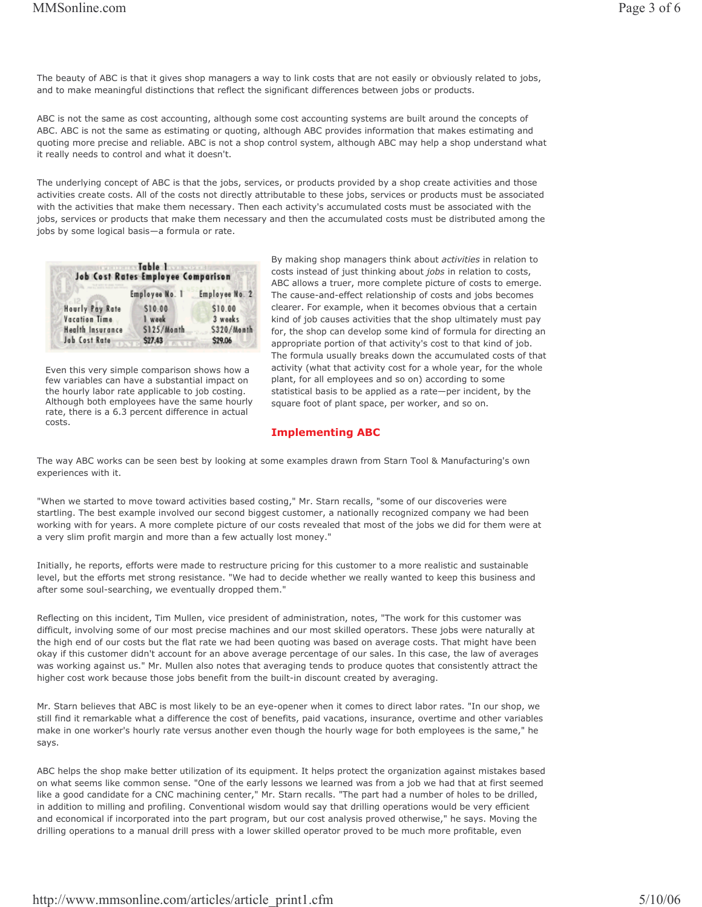The beauty of ABC is that it gives shop managers a way to link costs that are not easily or obviously related to jobs, and to make meaningful distinctions that reflect the significant differences between jobs or products.

ABC is not the same as cost accounting, although some cost accounting systems are built around the concepts of ABC. ABC is not the same as estimating or quoting, although ABC provides information that makes estimating and quoting more precise and reliable. ABC is not a shop control system, although ABC may help a shop understand what it really needs to control and what it doesn't.

The underlying concept of ABC is that the jobs, services, or products provided by a shop create activities and those activities create costs. All of the costs not directly attributable to these jobs, services or products must be associated with the activities that make them necessary. Then each activity's accumulated costs must be associated with the jobs, services or products that make them necessary and then the accumulated costs must be distributed among the jobs by some logical basis-a formula or rate.

| Table disposition<br>SE14 1 3 34 T<br><b>Job Cost Rates Employee Comparison</b> |                |                |  |  |  |  |  |
|---------------------------------------------------------------------------------|----------------|----------------|--|--|--|--|--|
|                                                                                 | Employee No. 1 | Employee No. 2 |  |  |  |  |  |
| <b>Hourly Pay Rate</b>                                                          | \$10.00        | \$10.00        |  |  |  |  |  |
| <b>Vacation Time</b>                                                            | week           | 3 weeks        |  |  |  |  |  |
| <b>Health Insurance</b>                                                         | S125/Month     | S320/Month     |  |  |  |  |  |
| Job Cost Rate                                                                   | <b>\$27.43</b> | \$29.06        |  |  |  |  |  |

Even this very simple comparison shows how a few variables can have a substantial impact on the hourly labor rate applicable to job costing. Although both employees have the same hourly rate, there is a 6.3 percent difference in actual costs.

By making shop managers think about activities in relation to costs instead of just thinking about jobs in relation to costs, ABC allows a truer, more complete picture of costs to emerge. The cause-and-effect relationship of costs and jobs becomes clearer. For example, when it becomes obvious that a certain kind of job causes activities that the shop ultimately must pay for, the shop can develop some kind of formula for directing an appropriate portion of that activity's cost to that kind of job. The formula usually breaks down the accumulated costs of that activity (what that activity cost for a whole year, for the whole plant, for all employees and so on) according to some statistical basis to be applied as a rate-per incident, by the square foot of plant space, per worker, and so on.

# **Implementing ABC**

The way ABC works can be seen best by looking at some examples drawn from Starn Tool & Manufacturing's own experiences with it.

"When we started to move toward activities based costing," Mr. Starn recalls, "some of our discoveries were startling. The best example involved our second biggest customer, a nationally recognized company we had been working with for years. A more complete picture of our costs revealed that most of the jobs we did for them were at a very slim profit margin and more than a few actually lost money."

Initially, he reports, efforts were made to restructure pricing for this customer to a more realistic and sustainable level, but the efforts met strong resistance. "We had to decide whether we really wanted to keep this business and after some soul-searching, we eventually dropped them."

Reflecting on this incident, Tim Mullen, vice president of administration, notes, "The work for this customer was difficult, involving some of our most precise machines and our most skilled operators. These jobs were naturally at the high end of our costs but the flat rate we had been quoting was based on average costs. That might have been okay if this customer didn't account for an above average percentage of our sales. In this case, the law of averages was working against us." Mr. Mullen also notes that averaging tends to produce quotes that consistently attract the higher cost work because those jobs benefit from the built-in discount created by averaging.

Mr. Starn believes that ABC is most likely to be an eye-opener when it comes to direct labor rates. "In our shop, we still find it remarkable what a difference the cost of benefits, paid vacations, insurance, overtime and other variables make in one worker's hourly rate versus another even though the hourly wage for both employees is the same," he says.

ABC helps the shop make better utilization of its equipment. It helps protect the organization against mistakes based on what seems like common sense. "One of the early lessons we learned was from a job we had that at first seemed like a good candidate for a CNC machining center," Mr. Starn recalls. "The part had a number of holes to be drilled, in addition to milling and profiling. Conventional wisdom would say that drilling operations would be very efficient and economical if incorporated into the part program, but our cost analysis proved otherwise," he says. Moving the drilling operations to a manual drill press with a lower skilled operator proved to be much more profitable, even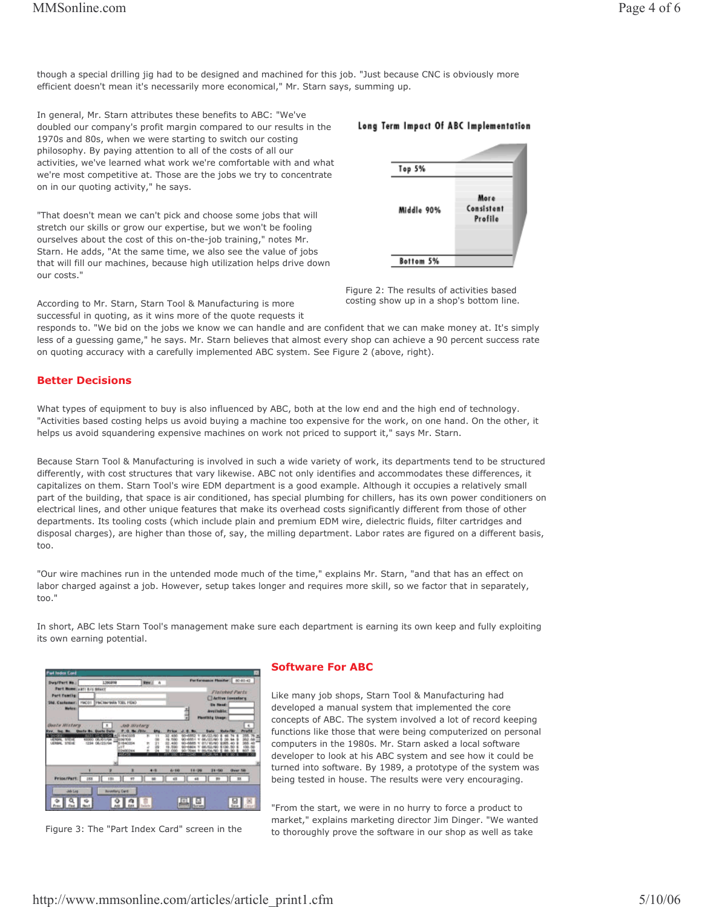though a special drilling jig had to be designed and machined for this job. "Just because CNC is obviously more efficient doesn't mean it's necessarily more economical," Mr. Starn says, summing up.

In general, Mr. Starn attributes these benefits to ABC: "We've doubled our company's profit margin compared to our results in the 1970s and 80s, when we were starting to switch our costing philosophy. By paying attention to all of the costs of all our activities, we've learned what work we're comfortable with and what we're most competitive at. Those are the jobs we try to concentrate on in our quoting activity," he says.

"That doesn't mean we can't pick and choose some jobs that will stretch our skills or grow our expertise, but we won't be fooling ourselves about the cost of this on-the-job training," notes Mr. Starn. He adds, "At the same time, we also see the value of jobs that will fill our machines, because high utilization helps drive down our costs "

According to Mr. Starn, Starn Tool & Manufacturing is more successful in quoting, as it wins more of the quote requests it

responds to. "We bid on the jobs we know we can handle and are confident that we can make money at. It's simply less of a guessing game," he says. Mr. Starn believes that almost every shop can achieve a 90 percent success rate on quoting accuracy with a carefully implemented ABC system. See Figure 2 (above, right).

# **Better Decisions**

What types of equipment to buy is also influenced by ABC, both at the low end and the high end of technology. "Activities based costing helps us avoid buying a machine too expensive for the work, on one hand. On the other, it helps us avoid squandering expensive machines on work not priced to support it," says Mr. Starn.

Because Starn Tool & Manufacturing is involved in such a wide variety of work, its departments tend to be structured differently, with cost structures that vary likewise. ABC not only identifies and accommodates these differences, it capitalizes on them. Starn Tool's wire EDM department is a good example. Although it occupies a relatively small part of the building, that space is air conditioned, has special plumbing for chillers, has its own power conditioners on electrical lines, and other unique features that make its overhead costs significantly different from those of other departments. Its tooling costs (which include plain and premium EDM wire, dielectric fluids, filter cartridges and disposal charges), are higher than those of, say, the milling department. Labor rates are figured on a different basis,  $\text{to}$ 

"Our wire machines run in the untended mode much of the time," explains Mr. Starn, "and that has an effect on labor charged against a job. However, setup takes longer and requires more skill, so we factor that in separately, too."

In short, ABC lets Starn Tool's management make sure each department is earning its own keep and fully exploiting its own earning potential.

| Fed Index Cord                             |                         |                         |                               |                           |                  |                   |                             |                |                         |  |
|--------------------------------------------|-------------------------|-------------------------|-------------------------------|---------------------------|------------------|-------------------|-----------------------------|----------------|-------------------------|--|
| <b>Dug/Part #s.;</b>                       |                         | 1206898                 |                               | Rev.: 4                   |                  |                   | Performance Healthe: 000040 |                |                         |  |
| <b>Part NemeticATI 6/6 SEACT</b>           |                         |                         |                               |                           |                  |                   |                             | Flatybed Parts |                         |  |
| <b>Part Femile:</b>                        |                         |                         |                               |                           | Active Inventory |                   |                             |                |                         |  |
| 510. Customer:<br><b>Mekes:</b>            | <b>MACIÓ!</b>           | THACHAINAN TOBL PIEAD   |                               |                           |                  | <b>Die Henrik</b> |                             |                |                         |  |
|                                            |                         |                         |                               |                           |                  |                   | <b>Available</b>            |                |                         |  |
|                                            |                         |                         |                               |                           |                  |                   | <b>Plantilly Usept</b>      |                |                         |  |
| <b>District Mixture</b>                    |                         | x                       | Job Wistory                   |                           |                  |                   |                             |                | L.                      |  |
| $-21$                                      |                         | arte Dat<br>1754        | 14140335                      | <b>SWAY</b><br><b>UAu</b> |                  |                   |                             | <b>Pata Fe</b> |                         |  |
| LENGIL STEEL<br><b><i>UERBAL STEIR</i></b> | <b>BUSINESS</b><br>1234 | DR. KIN FOR<br>06/23/94 | <b>NVM</b><br><b>BISSIONS</b> |                           |                  |                   |                             |                |                         |  |
|                                            |                         |                         | List<br><b>MountCoas</b>      |                           |                  |                   |                             |                | <b>iki</b><br><b>AV</b> |  |
|                                            |                         |                         | 405455                        |                           |                  |                   |                             |                |                         |  |
|                                            |                         |                         |                               |                           |                  |                   |                             |                |                         |  |
|                                            |                         |                         | ×                             | $4 - 4$                   | 4-10             | 11/20             | 01-50                       | Gyer 54        |                         |  |
| Price/Part:                                | 333                     | 131                     | WT <sub>1</sub>               |                           | 48               | 48                | m                           |                | $2$                     |  |
| Job Log                                    |                         | <b>Investory Card</b>   |                               |                           |                  |                   |                             |                |                         |  |
|                                            |                         |                         |                               |                           |                  |                   |                             |                |                         |  |
|                                            |                         |                         |                               | <b>Tarifactus</b>         |                  | Survey            |                             | ×<br>fixed     |                         |  |
|                                            |                         |                         |                               |                           |                  |                   |                             |                |                         |  |

Figure 3: The "Part Index Card" screen in the

### **Software For ABC**

Like many job shops, Starn Tool & Manufacturing had developed a manual system that implemented the core concepts of ABC. The system involved a lot of record keeping functions like those that were being computerized on personal computers in the 1980s. Mr. Starn asked a local software developer to look at his ABC system and see how it could be turned into software. By 1989, a prototype of the system was being tested in house. The results were very encouraging.

"From the start, we were in no hurry to force a product to market," explains marketing director Jim Dinger. "We wanted to thoroughly prove the software in our shop as well as take





Figure 2: The results of activities based costing show up in a shop's bottom line.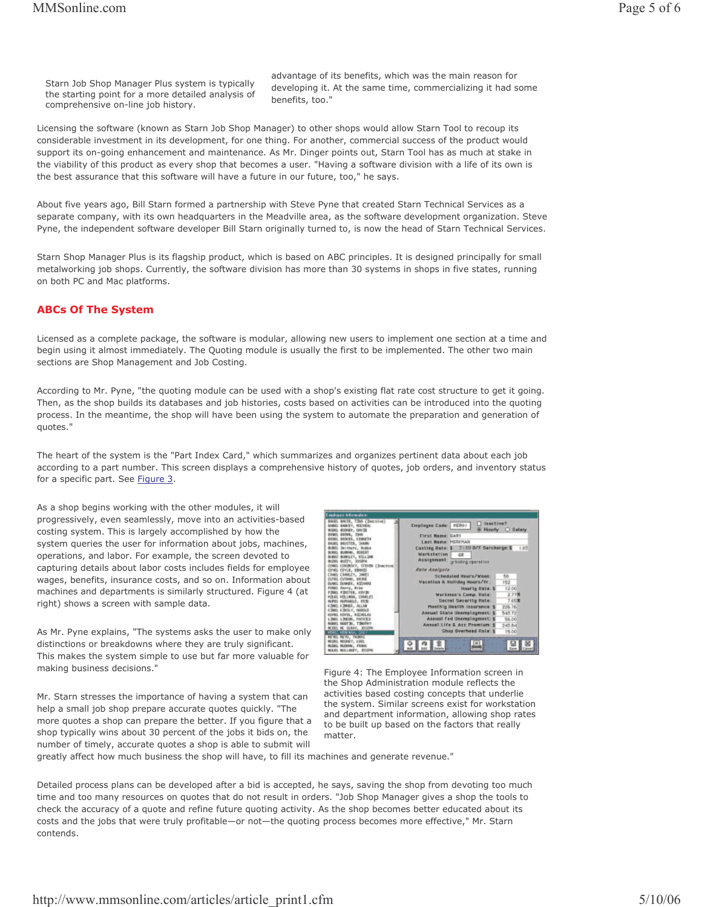Starn Job Shop Manager Plus system is typically the starting point for a more detailed analysis of comprehensive on-line job history.

advantage of its benefits, which was the main reason for developing it. At the same time, commercializing it had some benefits, too."

Licensing the software (known as Starn Job Shop Manager) to other shops would allow Starn Tool to recoup its considerable investment in its development, for one thing. For another, commercial success of the product would support its on-going enhancement and maintenance. As Mr. Dinger points out, Starn Tool has as much at stake in the viability of this product as every shop that becomes a user. "Having a software division with a life of its own is the best assurance that this software will have a future in our future, too," he says.

About five years ago, Bill Starn formed a partnership with Steve Pyne that created Starn Technical Services as a separate company, with its own headquarters in the Meadville area, as the software development organization. Steve Pyne, the independent software developer Bill Starn originally turned to, is now the head of Starn Technical Services.

Starn Shop Manager Plus is its flagship product, which is based on ABC principles. It is designed principally for small metalworking job shops. Currently, the software division has more than 30 systems in shops in five states, running on both PC and Mac platforms.

## **ABCs Of The System**

Licensed as a complete package, the software is modular, allowing new users to implement one section at a time and begin using it almost immediately. The Quoting module is usually the first to be implemented. The other two main sections are Shop Management and Job Costing.

According to Mr. Pyne, "the quoting module can be used with a shop's existing flat rate cost structure to get it going. Then, as the shop builds its databases and job histories, costs based on activities can be introduced into the quoting process. In the meantime, the shop will have been using the system to automate the preparation and generation of quotes.'

The heart of the system is the "Part Index Card," which summarizes and organizes pertinent data about each job according to a part number. This screen displays a comprehensive history of quotes, job orders, and inventory status for a specific part. See Figure 3.

As a shop begins working with the other modules, it will progressively, even seamlessly, move into an activities-based costing system. This is largely accomplished by how the system queries the user for information about jobs, machines, operations, and labor. For example, the screen devoted to capturing details about labor costs includes fields for employee wages, benefits, insurance costs, and so on. Information about machines and departments is similarly structured. Figure 4 (at right) shows a screen with sample data.

As Mr. Pyne explains, "The systems asks the user to make only distinctions or breakdowns where they are truly significant. This makes the system simple to use but far more valuable for making business decisions."

Mr. Starn stresses the importance of having a system that can help a small job shop prepare accurate quotes quickly. "The more quotes a shop can prepare the better. If you figure that a shop typically wins about 30 percent of the jobs it bids on, the number of timely, accurate quotes a shop is able to submit will



Figure 4: The Employee Information screen in the Shop Administration module reflects the activities based costing concepts that underlie the system. Similar screens exist for workstation and department information, allowing shop rates to be built up based on the factors that really matter.

greatly affect how much business the shop will have, to fill its machines and generate revenue."

Detailed process plans can be developed after a bid is accepted, he says, saving the shop from devoting too much time and too many resources on quotes that do not result in orders. "Job Shop Manager gives a shop the tools to check the accuracy of a quote and refine future quoting activity. As the shop becomes better educated about its costs and the jobs that were truly profitable—or not—the quoting process becomes more effective," Mr. Starn contends.